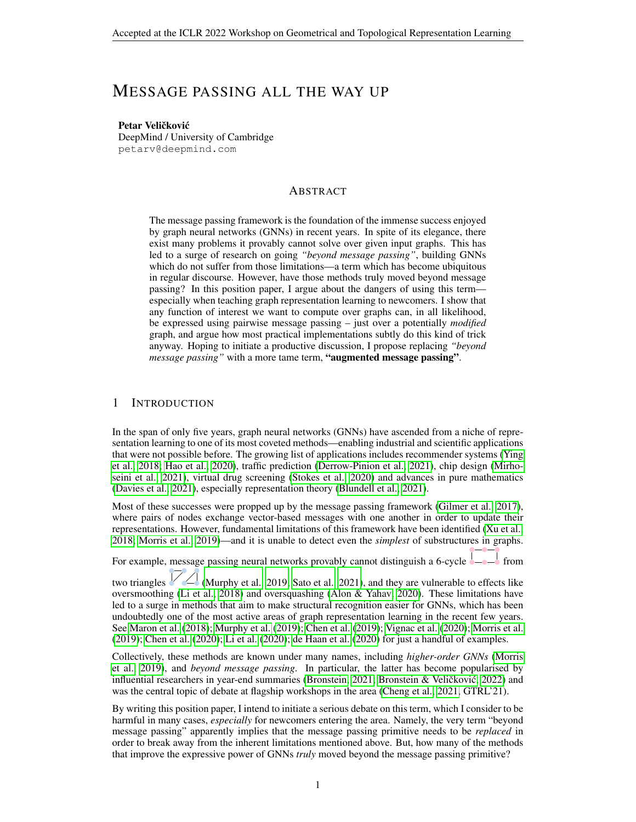# MESSAGE PASSING ALL THE WAY UP

Petar Veličković DeepMind / University of Cambridge petarv@deepmind.com

## ABSTRACT

The message passing framework is the foundation of the immense success enjoyed by graph neural networks (GNNs) in recent years. In spite of its elegance, there exist many problems it provably cannot solve over given input graphs. This has led to a surge of research on going *"beyond message passing"*, building GNNs which do not suffer from those limitations—a term which has become ubiquitous in regular discourse. However, have those methods truly moved beyond message passing? In this position paper, I argue about the dangers of using this term especially when teaching graph representation learning to newcomers. I show that any function of interest we want to compute over graphs can, in all likelihood, be expressed using pairwise message passing – just over a potentially *modified* graph, and argue how most practical implementations subtly do this kind of trick anyway. Hoping to initiate a productive discussion, I propose replacing *"beyond message passing"* with a more tame term, "augmented message passing".

# 1 INTRODUCTION

In the span of only five years, graph neural networks (GNNs) have ascended from a niche of representation learning to one of its most coveted methods—enabling industrial and scientific applications that were not possible before. The growing list of applications includes recommender systems [\(Ying](#page-8-0) [et al., 2018;](#page-8-0) [Hao et al., 2020\)](#page-6-0), traffic prediction [\(Derrow-Pinion et al., 2021\)](#page-5-0), chip design [\(Mirho](#page-7-0)[seini et al., 2021\)](#page-7-0), virtual drug screening [\(Stokes et al., 2020\)](#page-7-1) and advances in pure mathematics [\(Davies et al., 2021\)](#page-5-1), especially representation theory [\(Blundell et al., 2021\)](#page-4-0).

Most of these successes were propped up by the message passing framework [\(Gilmer et al., 2017\)](#page-6-1), where pairs of nodes exchange vector-based messages with one another in order to update their representations. However, fundamental limitations of this framework have been identified [\(Xu et al.,](#page-8-1) [2018;](#page-8-1) [Morris et al., 2019\)](#page-7-2)—and it is unable to detect even the *simplest* of substructures in graphs.

For example, message passing neural networks provably cannot distinguish a 6-cycle  $\rightarrow$  from

two triangles  $\Box$  [\(Murphy et al., 2019;](#page-7-3) [Sato et al., 2021\)](#page-7-4), and they are vulnerable to effects like oversmoothing [\(Li et al., 2018\)](#page-6-2) and oversquashing [\(Alon & Yahav, 2020\)](#page-4-1). These limitations have led to a surge in methods that aim to make structural recognition easier for GNNs, which has been undoubtedly one of the most active areas of graph representation learning in the recent few years. See [Maron et al.](#page-6-3) [\(2018\)](#page-6-3); [Murphy et al.](#page-7-3) [\(2019\)](#page-7-3); [Chen et al.](#page-5-2) [\(2019\)](#page-5-2); [Vignac et al.](#page-7-5) [\(2020\)](#page-7-5); [Morris et al.](#page-7-2) [\(2019\)](#page-7-2); [Chen et al.](#page-5-3) [\(2020\)](#page-5-3); [Li et al.](#page-6-4) [\(2020\)](#page-6-4); [de Haan et al.](#page-5-4) [\(2020\)](#page-5-4) for just a handful of examples.

Collectively, these methods are known under many names, including *higher-order GNNs* [\(Morris](#page-7-2) [et al., 2019\)](#page-7-2), and *beyond message passing*. In particular, the latter has become popularised by influential researchers in year-end summaries [\(Bronstein, 2021;](#page-5-5) Bronstein & Veličković, [2022\)](#page-5-6) and was the central topic of debate at flagship workshops in the area [\(Cheng et al., 2021,](#page-5-7) GTRL'21).

By writing this position paper, I intend to initiate a serious debate on this term, which I consider to be harmful in many cases, *especially* for newcomers entering the area. Namely, the very term "beyond message passing" apparently implies that the message passing primitive needs to be *replaced* in order to break away from the inherent limitations mentioned above. But, how many of the methods that improve the expressive power of GNNs *truly* moved beyond the message passing primitive?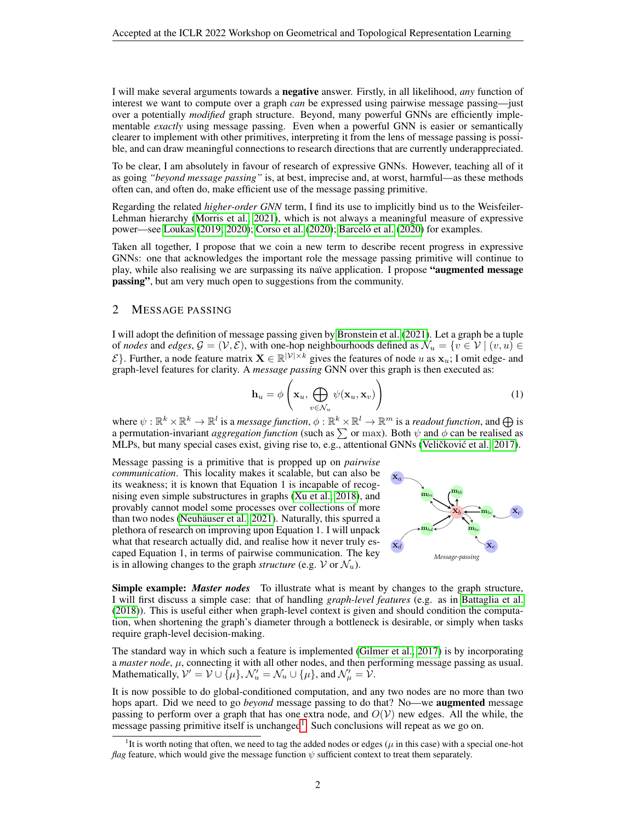I will make several arguments towards a negative answer. Firstly, in all likelihood, *any* function of interest we want to compute over a graph *can* be expressed using pairwise message passing—just over a potentially *modified* graph structure. Beyond, many powerful GNNs are efficiently implementable *exactly* using message passing. Even when a powerful GNN is easier or semantically clearer to implement with other primitives, interpreting it from the lens of message passing is possible, and can draw meaningful connections to research directions that are currently underappreciated.

To be clear, I am absolutely in favour of research of expressive GNNs. However, teaching all of it as going *"beyond message passing"* is, at best, imprecise and, at worst, harmful—as these methods often can, and often do, make efficient use of the message passing primitive.

Regarding the related *higher-order GNN* term, I find its use to implicitly bind us to the Weisfeiler-Lehman hierarchy [\(Morris et al., 2021\)](#page-7-6), which is not always a meaningful measure of expressive power—see [Loukas](#page-6-5)  $(2019; 2020)$  $(2019; 2020)$ ; [Corso et al.](#page-5-8)  $(2020)$ ; Barceló et al.  $(2020)$  for examples.

Taken all together, I propose that we coin a new term to describe recent progress in expressive GNNs: one that acknowledges the important role the message passing primitive will continue to play, while also realising we are surpassing its naïve application. I propose "**augmented message** passing", but am very much open to suggestions from the community.

# 2 MESSAGE PASSING

I will adopt the definition of message passing given by [Bronstein et al.](#page-5-9) [\(2021\)](#page-5-9). Let a graph be a tuple of *nodes* and *edges*,  $G = (V, E)$ , with one-hop neighbourhoods defined as  $\mathcal{N}_u = \{v \in V \mid (v, u) \in$  $\mathcal{E}$ . Further, a node feature matrix  $\mathbf{X} \in \mathbb{R}^{|\mathcal{V}|\times k}$  gives the features of node u as  $\mathbf{x}_u$ ; I omit edge- and graph-level features for clarity. A *message passing* GNN over this graph is then executed as:

$$
\mathbf{h}_u = \phi\left(\mathbf{x}_u, \bigoplus_{v \in \mathcal{N}_u} \psi(\mathbf{x}_u, \mathbf{x}_v)\right) \tag{1}
$$

where  $\psi: \mathbb{R}^k \times \mathbb{R}^k \to \mathbb{R}^l$  is a *message function*,  $\phi: \mathbb{R}^k \times \mathbb{R}^l \to \mathbb{R}^m$  is a *readout function*, and  $\bigoplus$  is a permutation-invariant *aggregation function* (such as  $\sum$  or max). Both  $\psi$  and  $\phi$  can be realised as MLPs, but many special cases exist, giving rise to, e.g., attentional GNNs (Veličković et al., [2017\)](#page-7-7).

Message passing is a primitive that is propped up on *pairwise communication*. This locality makes it scalable, but can also be its weakness; it is known that Equation 1 is incapable of recognising even simple substructures in graphs [\(Xu et al., 2018\)](#page-8-1), and provably cannot model some processes over collections of more than two nodes (Neuhäuser et al., 2021). Naturally, this spurred a plethora of research on improving upon Equation 1. I will unpack what that research actually did, and realise how it never truly escaped Equation 1, in terms of pairwise communication. The key is in allowing changes to the graph *structure* (e.g.  $V$  or  $\mathcal{N}_u$ ).



Simple example: *Master nodes* To illustrate what is meant by changes to the graph structure, I will first discuss a simple case: that of handling *graph-level features* (e.g. as in [Battaglia et al.](#page-4-3) [\(2018\)](#page-4-3)). This is useful either when graph-level context is given and should condition the computation, when shortening the graph's diameter through a bottleneck is desirable, or simply when tasks require graph-level decision-making.

The standard way in which such a feature is implemented [\(Gilmer et al., 2017\)](#page-6-1) is by incorporating  $a$  *master node*,  $\mu$ , connecting it with all other nodes, and then performing message passing as usual. Mathematically,  $\mathcal{V}' = \mathcal{V} \cup \overline{\{\mu\}}, \mathcal{N}'_u = \mathcal{N}_u \cup \{\mu\},$  and  $\mathcal{N}'_\mu = \mathcal{V}$ .

It is now possible to do global-conditioned computation, and any two nodes are no more than two hops apart. Did we need to go *beyond* message passing to do that? No—we augmented message passing to perform over a graph that has one extra node, and  $O(V)$  new edges. All the while, the message passing primitive itself is unchanged<sup>[1](#page-1-0)</sup>. Such conclusions will repeat as we go on.

<span id="page-1-0"></span><sup>&</sup>lt;sup>1</sup>It is worth noting that often, we need to tag the added nodes or edges ( $\mu$  in this case) with a special one-hot *flag* feature, which would give the message function  $\psi$  sufficient context to treat them separately.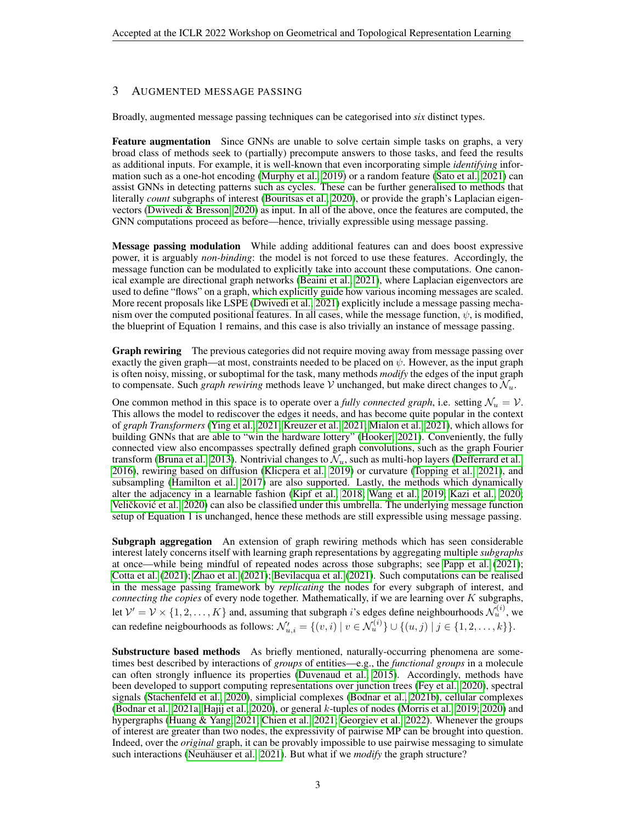# 3 AUGMENTED MESSAGE PASSING

Broadly, augmented message passing techniques can be categorised into *six* distinct types.

Feature augmentation Since GNNs are unable to solve certain simple tasks on graphs, a very broad class of methods seek to (partially) precompute answers to those tasks, and feed the results as additional inputs. For example, it is well-known that even incorporating simple *identifying* information such as a one-hot encoding [\(Murphy et al., 2019\)](#page-7-3) or a random feature [\(Sato et al., 2021\)](#page-7-4) can assist GNNs in detecting patterns such as cycles. These can be further generalised to methods that literally *count* subgraphs of interest [\(Bouritsas et al., 2020\)](#page-4-4), or provide the graph's Laplacian eigenvectors [\(Dwivedi & Bresson, 2020\)](#page-5-10) as input. In all of the above, once the features are computed, the GNN computations proceed as before—hence, trivially expressible using message passing.

Message passing modulation While adding additional features can and does boost expressive power, it is arguably *non-binding*: the model is not forced to use these features. Accordingly, the message function can be modulated to explicitly take into account these computations. One canonical example are directional graph networks [\(Beaini et al., 2021\)](#page-4-5), where Laplacian eigenvectors are used to define "flows" on a graph, which explicitly guide how various incoming messages are scaled. More recent proposals like LSPE [\(Dwivedi et al., 2021\)](#page-5-11) explicitly include a message passing mechanism over the computed positional features. In all cases, while the message function,  $\psi$ , is modified, the blueprint of Equation 1 remains, and this case is also trivially an instance of message passing.

**Graph rewiring** The previous categories did not require moving away from message passing over exactly the given graph—at most, constraints needed to be placed on  $\psi$ . However, as the input graph is often noisy, missing, or suboptimal for the task, many methods *modify* the edges of the input graph to compensate. Such *graph rewiring* methods leave V unchanged, but make direct changes to  $\mathcal{N}_u$ .

One common method in this space is to operate over a *fully connected graph*, i.e. setting  $\mathcal{N}_u = \mathcal{V}$ . This allows the model to rediscover the edges it needs, and has become quite popular in the context of *graph Transformers* [\(Ying et al., 2021;](#page-8-2) [Kreuzer et al., 2021;](#page-6-7) [Mialon et al., 2021\)](#page-7-9), which allows for building GNNs that are able to "win the hardware lottery" [\(Hooker, 2021\)](#page-6-8). Conveniently, the fully connected view also encompasses spectrally defined graph convolutions, such as the graph Fourier transform [\(Bruna et al., 2013\)](#page-5-12). Nontrivial changes to  $\mathcal{N}_u$ , such as multi-hop layers [\(Defferrard et al.,](#page-5-13) [2016\)](#page-5-13), rewiring based on diffusion [\(Klicpera et al., 2019\)](#page-6-9) or curvature [\(Topping et al., 2021\)](#page-7-10), and subsampling [\(Hamilton et al., 2017\)](#page-6-10) are also supported. Lastly, the methods which dynamically alter the adjacency in a learnable fashion [\(Kipf et al., 2018;](#page-6-11) [Wang et al., 2019;](#page-8-3) [Kazi et al., 2020;](#page-6-12) Veličković et al., [2020\)](#page-7-11) can also be classified under this umbrella. The underlying message function setup of Equation 1 is unchanged, hence these methods are still expressible using message passing.

Subgraph aggregation An extension of graph rewiring methods which has seen considerable interest lately concerns itself with learning graph representations by aggregating multiple *subgraphs* at once—while being mindful of repeated nodes across those subgraphs; see [Papp et al.](#page-7-12) [\(2021\)](#page-7-12); [Cotta et al.](#page-5-14) [\(2021\)](#page-5-14); [Zhao et al.](#page-8-4) [\(2021\)](#page-8-4); [Bevilacqua et al.](#page-4-6) [\(2021\)](#page-4-6). Such computations can be realised in the message passing framework by *replicating* the nodes for every subgraph of interest, and *connecting the copies* of every node together. Mathematically, if we are learning over K subgraphs, let  $\mathcal{V}' = \mathcal{V} \times \{1, 2, ..., K\}$  and, assuming that subgraph *i*'s edges define neighbourhoods  $\mathcal{N}_u^{(i)}$ , we can redefine neigbourhoods as follows:  $\mathcal{N}'_{u,i} = \{(v,i) \mid v \in \mathcal{N}_u^{(i)}\} \cup \{(u,j) \mid j \in \{1,2,\ldots,k\}\}.$ 

Substructure based methods As briefly mentioned, naturally-occurring phenomena are sometimes best described by interactions of *groups* of entities—e.g., the *functional groups* in a molecule can often strongly influence its properties [\(Duvenaud et al., 2015\)](#page-5-15). Accordingly, methods have been developed to support computing representations over junction trees [\(Fey et al., 2020\)](#page-6-13), spectral signals [\(Stachenfeld et al., 2020\)](#page-7-13), simplicial complexes [\(Bodnar et al., 2021b\)](#page-4-7), cellular complexes [\(Bodnar et al., 2021a;](#page-4-8) [Hajij et al., 2020\)](#page-6-14), or general k-tuples of nodes [\(Morris et al., 2019;](#page-7-2) [2020\)](#page-7-14) and hypergraphs [\(Huang & Yang, 2021;](#page-6-15) [Chien et al., 2021;](#page-5-16) [Georgiev et al., 2022\)](#page-6-16). Whenever the groups of interest are greater than two nodes, the expressivity of pairwise MP can be brought into question. Indeed, over the *original* graph, it can be provably impossible to use pairwise messaging to simulate such interactions (Neuhäuser et al., 2021). But what if we *modify* the graph structure?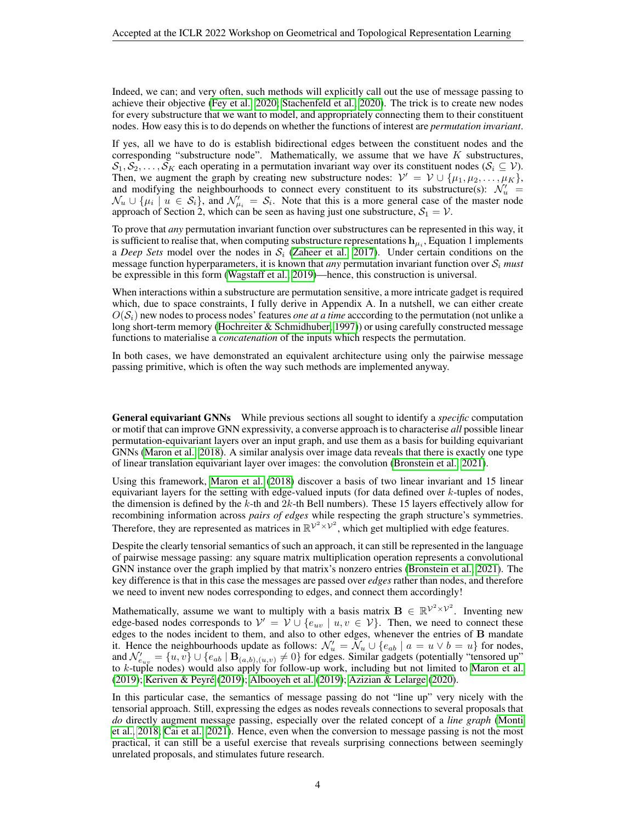Indeed, we can; and very often, such methods will explicitly call out the use of message passing to achieve their objective [\(Fey et al., 2020;](#page-6-13) [Stachenfeld et al., 2020\)](#page-7-13). The trick is to create new nodes for every substructure that we want to model, and appropriately connecting them to their constituent nodes. How easy this is to do depends on whether the functions of interest are *permutation invariant*.

If yes, all we have to do is establish bidirectional edges between the constituent nodes and the corresponding "substructure node". Mathematically, we assume that we have  $K$  substructures,  $S_1, S_2, \ldots, S_K$  each operating in a permutation invariant way over its constituent nodes  $(S_i \subseteq V)$ . Then, we augment the graph by creating new substructure nodes:  $\mathcal{V}' = \mathcal{V} \cup \{\mu_1, \mu_2, \dots, \mu_K\},\$ and modifying the neighbourhoods to connect every constituent to its substructure(s):  $\mathcal{N}'_u$  =  $\mathcal{N}_u \cup \{\mu_i \mid u \in \mathcal{S}_i\}$ , and  $\mathcal{N}'_{\mu_i} = \mathcal{S}_i$ . Note that this is a more general case of the master node approach of Section 2, which can be seen as having just one substructure,  $S_1 = V$ .

To prove that *any* permutation invariant function over substructures can be represented in this way, it is sufficient to realise that, when computing substructure representations  $\mathbf{h}_{\mu_i}$ , Equation 1 implements a *Deep Sets* model over the nodes in  $S_i$  [\(Zaheer et al., 2017\)](#page-8-5). Under certain conditions on the message function hyperparameters, it is known that *any* permutation invariant function over  $S_i$  *must* be expressible in this form [\(Wagstaff et al., 2019\)](#page-7-15)—hence, this construction is universal.

When interactions within a substructure are permutation sensitive, a more intricate gadget is required which, due to space constraints, I fully derive in Appendix A. In a nutshell, we can either create  $O(S<sub>i</sub>)$  new nodes to process nodes' features *one at a time* according to the permutation (not unlike a long short-term memory [\(Hochreiter & Schmidhuber, 1997\)](#page-6-17)) or using carefully constructed message functions to materialise a *concatenation* of the inputs which respects the permutation.

In both cases, we have demonstrated an equivalent architecture using only the pairwise message passing primitive, which is often the way such methods are implemented anyway.

General equivariant GNNs While previous sections all sought to identify a *specific* computation or motif that can improve GNN expressivity, a converse approach is to characterise *all* possible linear permutation-equivariant layers over an input graph, and use them as a basis for building equivariant GNNs [\(Maron et al., 2018\)](#page-6-3). A similar analysis over image data reveals that there is exactly one type of linear translation equivariant layer over images: the convolution [\(Bronstein et al., 2021\)](#page-5-9).

Using this framework, [Maron et al.](#page-6-3) [\(2018\)](#page-6-3) discover a basis of two linear invariant and 15 linear equivariant layers for the setting with edge-valued inputs (for data defined over  $k$ -tuples of nodes, the dimension is defined by the  $k$ -th and  $2k$ -th Bell numbers). These 15 layers effectively allow for recombining information across *pairs of edges* while respecting the graph structure's symmetries. Therefore, they are represented as matrices in  $\mathbb{R}^{\mathcal{V}^2 \times \mathcal{V}^2}$ , which get multiplied with edge features.

Despite the clearly tensorial semantics of such an approach, it can still be represented in the language of pairwise message passing: any square matrix multiplication operation represents a convolutional GNN instance over the graph implied by that matrix's nonzero entries [\(Bronstein et al., 2021\)](#page-5-9). The key difference is that in this case the messages are passed over *edges* rather than nodes, and therefore we need to invent new nodes corresponding to edges, and connect them accordingly!

Mathematically, assume we want to multiply with a basis matrix  $B \in \mathbb{R}^{\mathcal{V}^2 \times \mathcal{V}^2}$ . Inventing new edge-based nodes corresponds to  $\mathcal{V}' = \mathcal{V} \cup \{e_{uv} \mid u, v \in \mathcal{V}\}\$ . Then, we need to connect these edges to the nodes incident to them, and also to other edges, whenever the entries of B mandate it. Hence the neighbourhoods update as follows:  $\mathcal{N}'_u = \mathcal{N}_u \cup \{e_{ab} \mid a = u \vee b = u\}$  for nodes, and  $\mathcal{N}'_{e_{uv}} = \{u, v\} \cup \{e_{ab} \mid \mathbf{B}_{(a,b),(u,v)} \neq 0\}$  for edges. Similar gadgets (potentially "tensored up" to  $k$ -tuple nodes) would also apply for follow-up work, including but not limited to [Maron et al.](#page-6-18) [\(2019\)](#page-6-18); [Keriven & Peyre](#page-6-19) [\(2019\)](#page-6-19); [Albooyeh et al.](#page-4-9) [\(2019\)](#page-4-9); [Azizian & Lelarge](#page-4-10) [\(2020\)](#page-4-10). ´

In this particular case, the semantics of message passing do not "line up" very nicely with the tensorial approach. Still, expressing the edges as nodes reveals connections to several proposals that *do* directly augment message passing, especially over the related concept of a *line graph* [\(Monti](#page-7-16) [et al., 2018;](#page-7-16) [Cai et al., 2021\)](#page-5-17). Hence, even when the conversion to message passing is not the most practical, it can still be a useful exercise that reveals surprising connections between seemingly unrelated proposals, and stimulates future research.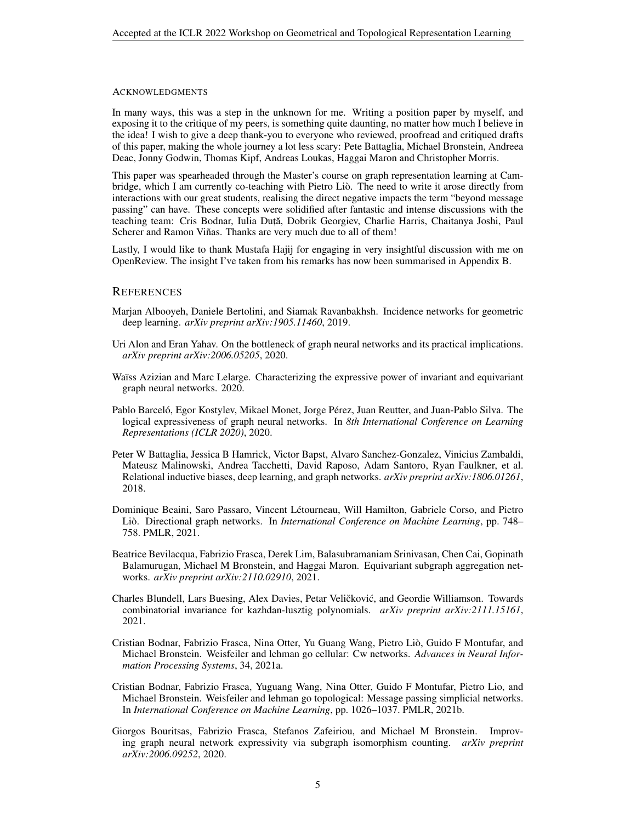#### ACKNOWLEDGMENTS

In many ways, this was a step in the unknown for me. Writing a position paper by myself, and exposing it to the critique of my peers, is something quite daunting, no matter how much I believe in the idea! I wish to give a deep thank-you to everyone who reviewed, proofread and critiqued drafts of this paper, making the whole journey a lot less scary: Pete Battaglia, Michael Bronstein, Andreea Deac, Jonny Godwin, Thomas Kipf, Andreas Loukas, Haggai Maron and Christopher Morris.

This paper was spearheaded through the Master's course on graph representation learning at Cambridge, which I am currently co-teaching with Pietro Lio. The need to write it arose directly from ` interactions with our great students, realising the direct negative impacts the term "beyond message passing" can have. These concepts were solidified after fantastic and intense discussions with the teaching team: Cris Bodnar, Iulia Duță, Dobrik Georgiev, Charlie Harris, Chaitanya Joshi, Paul Scherer and Ramon Viñas. Thanks are very much due to all of them!

Lastly, I would like to thank Mustafa Hajij for engaging in very insightful discussion with me on OpenReview. The insight I've taken from his remarks has now been summarised in Appendix B.

#### **REFERENCES**

- <span id="page-4-9"></span>Marjan Albooyeh, Daniele Bertolini, and Siamak Ravanbakhsh. Incidence networks for geometric deep learning. *arXiv preprint arXiv:1905.11460*, 2019.
- <span id="page-4-1"></span>Uri Alon and Eran Yahav. On the bottleneck of graph neural networks and its practical implications. *arXiv preprint arXiv:2006.05205*, 2020.
- <span id="page-4-10"></span>Waïss Azizian and Marc Lelarge. Characterizing the expressive power of invariant and equivariant graph neural networks. 2020.
- <span id="page-4-2"></span>Pablo Barceló, Egor Kostylev, Mikael Monet, Jorge Pérez, Juan Reutter, and Juan-Pablo Silva. The logical expressiveness of graph neural networks. In *8th International Conference on Learning Representations (ICLR 2020)*, 2020.
- <span id="page-4-3"></span>Peter W Battaglia, Jessica B Hamrick, Victor Bapst, Alvaro Sanchez-Gonzalez, Vinicius Zambaldi, Mateusz Malinowski, Andrea Tacchetti, David Raposo, Adam Santoro, Ryan Faulkner, et al. Relational inductive biases, deep learning, and graph networks. *arXiv preprint arXiv:1806.01261*, 2018.
- <span id="page-4-5"></span>Dominique Beaini, Saro Passaro, Vincent Letourneau, Will Hamilton, Gabriele Corso, and Pietro ´ Liò. Directional graph networks. In *International Conference on Machine Learning*, pp. 748– 758. PMLR, 2021.
- <span id="page-4-6"></span>Beatrice Bevilacqua, Fabrizio Frasca, Derek Lim, Balasubramaniam Srinivasan, Chen Cai, Gopinath Balamurugan, Michael M Bronstein, and Haggai Maron. Equivariant subgraph aggregation networks. *arXiv preprint arXiv:2110.02910*, 2021.
- <span id="page-4-0"></span>Charles Blundell, Lars Buesing, Alex Davies, Petar Veličković, and Geordie Williamson. Towards combinatorial invariance for kazhdan-lusztig polynomials. *arXiv preprint arXiv:2111.15161*, 2021.
- <span id="page-4-8"></span>Cristian Bodnar, Fabrizio Frasca, Nina Otter, Yu Guang Wang, Pietro Lio, Guido F Montufar, and ` Michael Bronstein. Weisfeiler and lehman go cellular: Cw networks. *Advances in Neural Information Processing Systems*, 34, 2021a.
- <span id="page-4-7"></span>Cristian Bodnar, Fabrizio Frasca, Yuguang Wang, Nina Otter, Guido F Montufar, Pietro Lio, and Michael Bronstein. Weisfeiler and lehman go topological: Message passing simplicial networks. In *International Conference on Machine Learning*, pp. 1026–1037. PMLR, 2021b.
- <span id="page-4-4"></span>Giorgos Bouritsas, Fabrizio Frasca, Stefanos Zafeiriou, and Michael M Bronstein. Improving graph neural network expressivity via subgraph isomorphism counting. *arXiv preprint arXiv:2006.09252*, 2020.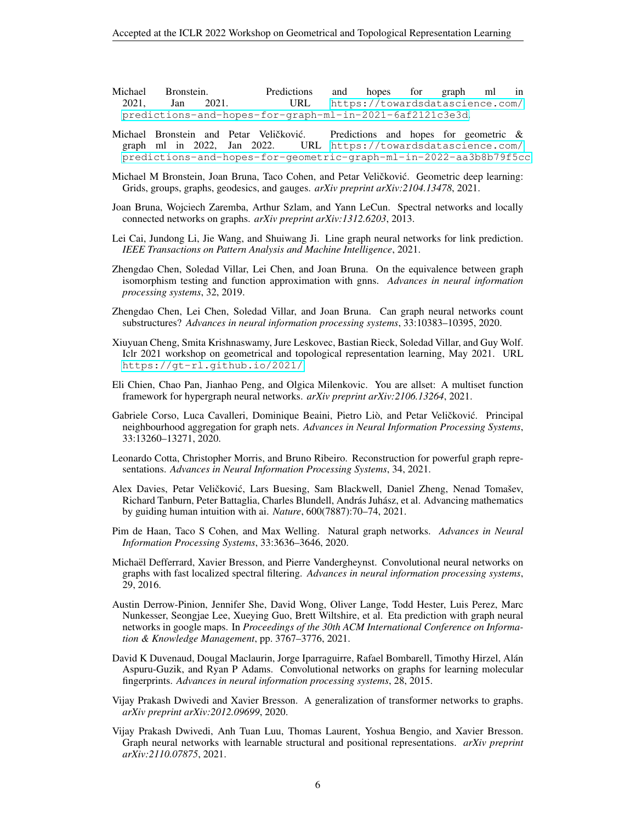<span id="page-5-5"></span>

|                 | Michael Bronstein. |  | Predictions                                              |  | and hopes for graph ml in           |  |
|-----------------|--------------------|--|----------------------------------------------------------|--|-------------------------------------|--|
| 2021. Jan 2021. |                    |  |                                                          |  | URL https://towardsdatascience.com/ |  |
|                 |                    |  | predictions-and-hopes-for-graph-ml-in-2021-6af2121c3e3d. |  |                                     |  |

- <span id="page-5-6"></span>Michael Bronstein and Petar Veličković. Predictions and hopes for geometric & graph ml in 2022, Jan 2022. URL [https://towardsdatascience.com/](https://towardsdatascience.com/predictions-and-hopes-for-geometric-graph-ml-in-2022-aa3b8b79f5cc) [predictions-and-hopes-for-geometric-graph-ml-in-2022-aa3b8b79f5cc](https://towardsdatascience.com/predictions-and-hopes-for-geometric-graph-ml-in-2022-aa3b8b79f5cc).
- <span id="page-5-9"></span>Michael M Bronstein, Joan Bruna, Taco Cohen, and Petar Veličković. Geometric deep learning: Grids, groups, graphs, geodesics, and gauges. *arXiv preprint arXiv:2104.13478*, 2021.
- <span id="page-5-12"></span>Joan Bruna, Wojciech Zaremba, Arthur Szlam, and Yann LeCun. Spectral networks and locally connected networks on graphs. *arXiv preprint arXiv:1312.6203*, 2013.
- <span id="page-5-17"></span>Lei Cai, Jundong Li, Jie Wang, and Shuiwang Ji. Line graph neural networks for link prediction. *IEEE Transactions on Pattern Analysis and Machine Intelligence*, 2021.
- <span id="page-5-2"></span>Zhengdao Chen, Soledad Villar, Lei Chen, and Joan Bruna. On the equivalence between graph isomorphism testing and function approximation with gnns. *Advances in neural information processing systems*, 32, 2019.
- <span id="page-5-3"></span>Zhengdao Chen, Lei Chen, Soledad Villar, and Joan Bruna. Can graph neural networks count substructures? *Advances in neural information processing systems*, 33:10383–10395, 2020.
- <span id="page-5-7"></span>Xiuyuan Cheng, Smita Krishnaswamy, Jure Leskovec, Bastian Rieck, Soledad Villar, and Guy Wolf. Iclr 2021 workshop on geometrical and topological representation learning, May 2021. URL <https://gt-rl.github.io/2021/>.
- <span id="page-5-16"></span>Eli Chien, Chao Pan, Jianhao Peng, and Olgica Milenkovic. You are allset: A multiset function framework for hypergraph neural networks. *arXiv preprint arXiv:2106.13264*, 2021.
- <span id="page-5-8"></span>Gabriele Corso, Luca Cavalleri, Dominique Beaini, Pietro Liò, and Petar Veličković. Principal neighbourhood aggregation for graph nets. *Advances in Neural Information Processing Systems*, 33:13260–13271, 2020.
- <span id="page-5-14"></span>Leonardo Cotta, Christopher Morris, and Bruno Ribeiro. Reconstruction for powerful graph representations. *Advances in Neural Information Processing Systems*, 34, 2021.
- <span id="page-5-1"></span>Alex Davies, Petar Veličković, Lars Buesing, Sam Blackwell, Daniel Zheng, Nenad Tomašev, Richard Tanburn, Peter Battaglia, Charles Blundell, András Juhász, et al. Advancing mathematics by guiding human intuition with ai. *Nature*, 600(7887):70–74, 2021.
- <span id="page-5-4"></span>Pim de Haan, Taco S Cohen, and Max Welling. Natural graph networks. *Advances in Neural Information Processing Systems*, 33:3636–3646, 2020.
- <span id="page-5-13"></span>Michael Defferrard, Xavier Bresson, and Pierre Vandergheynst. Convolutional neural networks on ¨ graphs with fast localized spectral filtering. *Advances in neural information processing systems*, 29, 2016.
- <span id="page-5-0"></span>Austin Derrow-Pinion, Jennifer She, David Wong, Oliver Lange, Todd Hester, Luis Perez, Marc Nunkesser, Seongjae Lee, Xueying Guo, Brett Wiltshire, et al. Eta prediction with graph neural networks in google maps. In *Proceedings of the 30th ACM International Conference on Information & Knowledge Management*, pp. 3767–3776, 2021.
- <span id="page-5-15"></span>David K Duvenaud, Dougal Maclaurin, Jorge Iparraguirre, Rafael Bombarell, Timothy Hirzel, Alan´ Aspuru-Guzik, and Ryan P Adams. Convolutional networks on graphs for learning molecular fingerprints. *Advances in neural information processing systems*, 28, 2015.
- <span id="page-5-10"></span>Vijay Prakash Dwivedi and Xavier Bresson. A generalization of transformer networks to graphs. *arXiv preprint arXiv:2012.09699*, 2020.
- <span id="page-5-11"></span>Vijay Prakash Dwivedi, Anh Tuan Luu, Thomas Laurent, Yoshua Bengio, and Xavier Bresson. Graph neural networks with learnable structural and positional representations. *arXiv preprint arXiv:2110.07875*, 2021.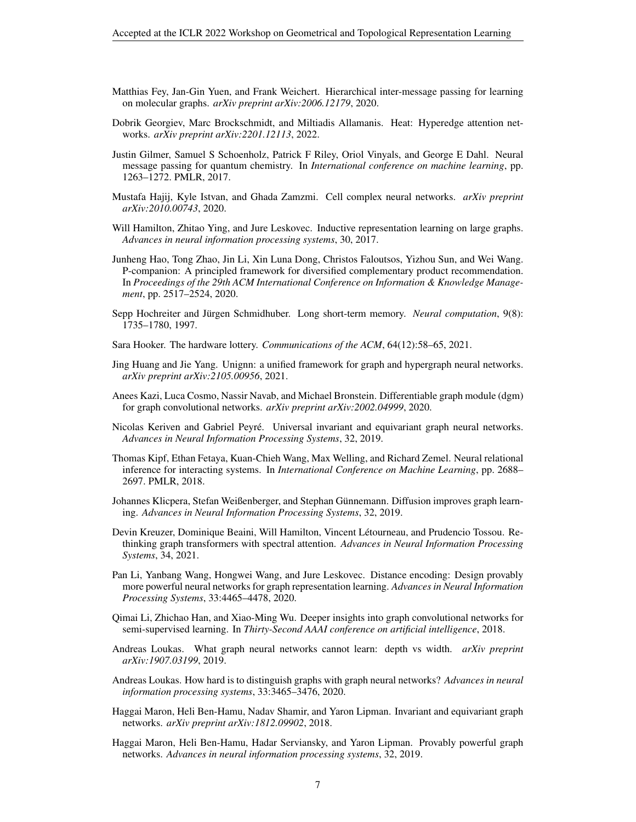- <span id="page-6-13"></span>Matthias Fey, Jan-Gin Yuen, and Frank Weichert. Hierarchical inter-message passing for learning on molecular graphs. *arXiv preprint arXiv:2006.12179*, 2020.
- <span id="page-6-16"></span>Dobrik Georgiev, Marc Brockschmidt, and Miltiadis Allamanis. Heat: Hyperedge attention networks. *arXiv preprint arXiv:2201.12113*, 2022.
- <span id="page-6-1"></span>Justin Gilmer, Samuel S Schoenholz, Patrick F Riley, Oriol Vinyals, and George E Dahl. Neural message passing for quantum chemistry. In *International conference on machine learning*, pp. 1263–1272. PMLR, 2017.
- <span id="page-6-14"></span>Mustafa Hajij, Kyle Istvan, and Ghada Zamzmi. Cell complex neural networks. *arXiv preprint arXiv:2010.00743*, 2020.
- <span id="page-6-10"></span>Will Hamilton, Zhitao Ying, and Jure Leskovec. Inductive representation learning on large graphs. *Advances in neural information processing systems*, 30, 2017.
- <span id="page-6-0"></span>Junheng Hao, Tong Zhao, Jin Li, Xin Luna Dong, Christos Faloutsos, Yizhou Sun, and Wei Wang. P-companion: A principled framework for diversified complementary product recommendation. In *Proceedings of the 29th ACM International Conference on Information & Knowledge Management*, pp. 2517–2524, 2020.
- <span id="page-6-17"></span>Sepp Hochreiter and Jürgen Schmidhuber. Long short-term memory. *Neural computation*, 9(8): 1735–1780, 1997.
- <span id="page-6-8"></span>Sara Hooker. The hardware lottery. *Communications of the ACM*, 64(12):58–65, 2021.
- <span id="page-6-15"></span>Jing Huang and Jie Yang. Unignn: a unified framework for graph and hypergraph neural networks. *arXiv preprint arXiv:2105.00956*, 2021.
- <span id="page-6-12"></span>Anees Kazi, Luca Cosmo, Nassir Navab, and Michael Bronstein. Differentiable graph module (dgm) for graph convolutional networks. *arXiv preprint arXiv:2002.04999*, 2020.
- <span id="page-6-19"></span>Nicolas Keriven and Gabriel Peyre. Universal invariant and equivariant graph neural networks. ´ *Advances in Neural Information Processing Systems*, 32, 2019.
- <span id="page-6-11"></span>Thomas Kipf, Ethan Fetaya, Kuan-Chieh Wang, Max Welling, and Richard Zemel. Neural relational inference for interacting systems. In *International Conference on Machine Learning*, pp. 2688– 2697. PMLR, 2018.
- <span id="page-6-9"></span>Johannes Klicpera, Stefan Weißenberger, and Stephan Günnemann. Diffusion improves graph learning. *Advances in Neural Information Processing Systems*, 32, 2019.
- <span id="page-6-7"></span>Devin Kreuzer, Dominique Beaini, Will Hamilton, Vincent Letourneau, and Prudencio Tossou. Re- ´ thinking graph transformers with spectral attention. *Advances in Neural Information Processing Systems*, 34, 2021.
- <span id="page-6-4"></span>Pan Li, Yanbang Wang, Hongwei Wang, and Jure Leskovec. Distance encoding: Design provably more powerful neural networks for graph representation learning. *Advances in Neural Information Processing Systems*, 33:4465–4478, 2020.
- <span id="page-6-2"></span>Qimai Li, Zhichao Han, and Xiao-Ming Wu. Deeper insights into graph convolutional networks for semi-supervised learning. In *Thirty-Second AAAI conference on artificial intelligence*, 2018.
- <span id="page-6-5"></span>Andreas Loukas. What graph neural networks cannot learn: depth vs width. *arXiv preprint arXiv:1907.03199*, 2019.
- <span id="page-6-6"></span>Andreas Loukas. How hard is to distinguish graphs with graph neural networks? *Advances in neural information processing systems*, 33:3465–3476, 2020.
- <span id="page-6-3"></span>Haggai Maron, Heli Ben-Hamu, Nadav Shamir, and Yaron Lipman. Invariant and equivariant graph networks. *arXiv preprint arXiv:1812.09902*, 2018.
- <span id="page-6-18"></span>Haggai Maron, Heli Ben-Hamu, Hadar Serviansky, and Yaron Lipman. Provably powerful graph networks. *Advances in neural information processing systems*, 32, 2019.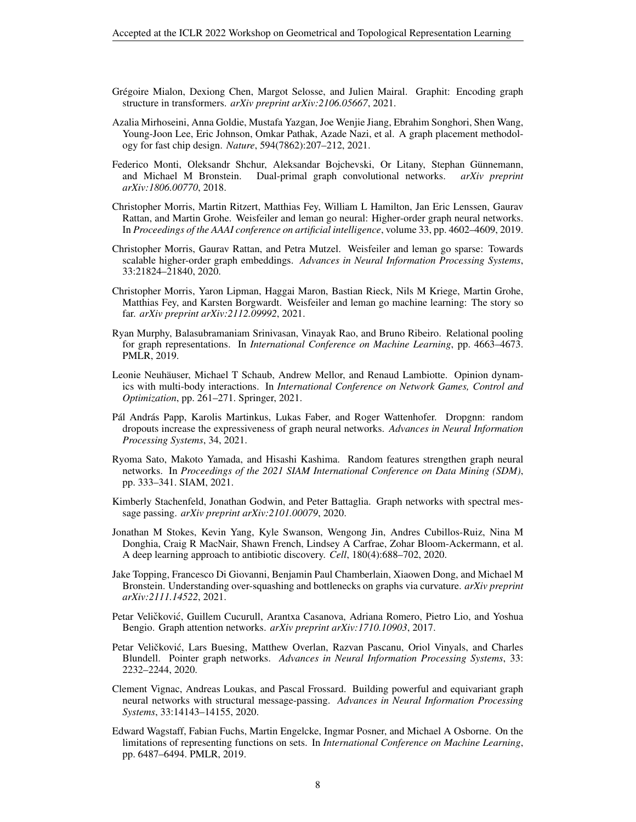- <span id="page-7-9"></span>Grégoire Mialon, Dexiong Chen, Margot Selosse, and Julien Mairal. Graphit: Encoding graph structure in transformers. *arXiv preprint arXiv:2106.05667*, 2021.
- <span id="page-7-0"></span>Azalia Mirhoseini, Anna Goldie, Mustafa Yazgan, Joe Wenjie Jiang, Ebrahim Songhori, Shen Wang, Young-Joon Lee, Eric Johnson, Omkar Pathak, Azade Nazi, et al. A graph placement methodology for fast chip design. *Nature*, 594(7862):207–212, 2021.
- <span id="page-7-16"></span>Federico Monti, Oleksandr Shchur, Aleksandar Bojchevski, Or Litany, Stephan Günnemann, and Michael M Bronstein. Dual-primal graph convolutional networks. *arXiv preprint arXiv:1806.00770*, 2018.
- <span id="page-7-2"></span>Christopher Morris, Martin Ritzert, Matthias Fey, William L Hamilton, Jan Eric Lenssen, Gaurav Rattan, and Martin Grohe. Weisfeiler and leman go neural: Higher-order graph neural networks. In *Proceedings of the AAAI conference on artificial intelligence*, volume 33, pp. 4602–4609, 2019.
- <span id="page-7-14"></span>Christopher Morris, Gaurav Rattan, and Petra Mutzel. Weisfeiler and leman go sparse: Towards scalable higher-order graph embeddings. *Advances in Neural Information Processing Systems*, 33:21824–21840, 2020.
- <span id="page-7-6"></span>Christopher Morris, Yaron Lipman, Haggai Maron, Bastian Rieck, Nils M Kriege, Martin Grohe, Matthias Fey, and Karsten Borgwardt. Weisfeiler and leman go machine learning: The story so far. *arXiv preprint arXiv:2112.09992*, 2021.
- <span id="page-7-3"></span>Ryan Murphy, Balasubramaniam Srinivasan, Vinayak Rao, and Bruno Ribeiro. Relational pooling for graph representations. In *International Conference on Machine Learning*, pp. 4663–4673. PMLR, 2019.
- <span id="page-7-8"></span>Leonie Neuhäuser, Michael T Schaub, Andrew Mellor, and Renaud Lambiotte. Opinion dynamics with multi-body interactions. In *International Conference on Network Games, Control and Optimization*, pp. 261–271. Springer, 2021.
- <span id="page-7-12"></span>Pál András Papp, Karolis Martinkus, Lukas Faber, and Roger Wattenhofer. Dropgnn: random dropouts increase the expressiveness of graph neural networks. *Advances in Neural Information Processing Systems*, 34, 2021.
- <span id="page-7-4"></span>Ryoma Sato, Makoto Yamada, and Hisashi Kashima. Random features strengthen graph neural networks. In *Proceedings of the 2021 SIAM International Conference on Data Mining (SDM)*, pp. 333–341. SIAM, 2021.
- <span id="page-7-13"></span>Kimberly Stachenfeld, Jonathan Godwin, and Peter Battaglia. Graph networks with spectral message passing. *arXiv preprint arXiv:2101.00079*, 2020.
- <span id="page-7-1"></span>Jonathan M Stokes, Kevin Yang, Kyle Swanson, Wengong Jin, Andres Cubillos-Ruiz, Nina M Donghia, Craig R MacNair, Shawn French, Lindsey A Carfrae, Zohar Bloom-Ackermann, et al. A deep learning approach to antibiotic discovery. *Cell*, 180(4):688–702, 2020.
- <span id="page-7-10"></span>Jake Topping, Francesco Di Giovanni, Benjamin Paul Chamberlain, Xiaowen Dong, and Michael M Bronstein. Understanding over-squashing and bottlenecks on graphs via curvature. *arXiv preprint arXiv:2111.14522*, 2021.
- <span id="page-7-7"></span>Petar Veličković, Guillem Cucurull, Arantxa Casanova, Adriana Romero, Pietro Lio, and Yoshua Bengio. Graph attention networks. *arXiv preprint arXiv:1710.10903*, 2017.
- <span id="page-7-11"></span>Petar Veličković, Lars Buesing, Matthew Overlan, Razvan Pascanu, Oriol Vinyals, and Charles Blundell. Pointer graph networks. *Advances in Neural Information Processing Systems*, 33: 2232–2244, 2020.
- <span id="page-7-5"></span>Clement Vignac, Andreas Loukas, and Pascal Frossard. Building powerful and equivariant graph neural networks with structural message-passing. *Advances in Neural Information Processing Systems*, 33:14143–14155, 2020.
- <span id="page-7-15"></span>Edward Wagstaff, Fabian Fuchs, Martin Engelcke, Ingmar Posner, and Michael A Osborne. On the limitations of representing functions on sets. In *International Conference on Machine Learning*, pp. 6487–6494. PMLR, 2019.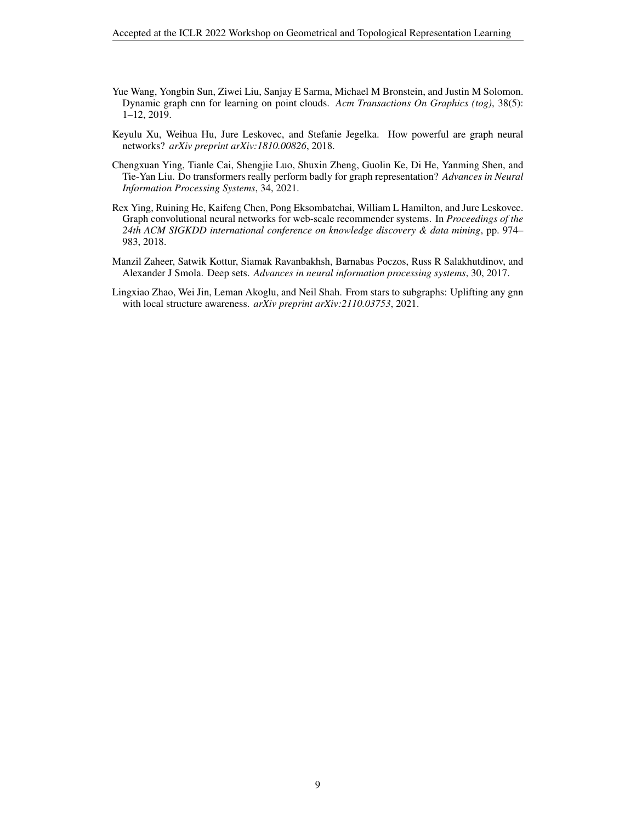- <span id="page-8-3"></span>Yue Wang, Yongbin Sun, Ziwei Liu, Sanjay E Sarma, Michael M Bronstein, and Justin M Solomon. Dynamic graph cnn for learning on point clouds. *Acm Transactions On Graphics (tog)*, 38(5): 1–12, 2019.
- <span id="page-8-1"></span>Keyulu Xu, Weihua Hu, Jure Leskovec, and Stefanie Jegelka. How powerful are graph neural networks? *arXiv preprint arXiv:1810.00826*, 2018.
- <span id="page-8-2"></span>Chengxuan Ying, Tianle Cai, Shengjie Luo, Shuxin Zheng, Guolin Ke, Di He, Yanming Shen, and Tie-Yan Liu. Do transformers really perform badly for graph representation? *Advances in Neural Information Processing Systems*, 34, 2021.
- <span id="page-8-0"></span>Rex Ying, Ruining He, Kaifeng Chen, Pong Eksombatchai, William L Hamilton, and Jure Leskovec. Graph convolutional neural networks for web-scale recommender systems. In *Proceedings of the 24th ACM SIGKDD international conference on knowledge discovery & data mining*, pp. 974– 983, 2018.
- <span id="page-8-5"></span>Manzil Zaheer, Satwik Kottur, Siamak Ravanbakhsh, Barnabas Poczos, Russ R Salakhutdinov, and Alexander J Smola. Deep sets. *Advances in neural information processing systems*, 30, 2017.
- <span id="page-8-4"></span>Lingxiao Zhao, Wei Jin, Leman Akoglu, and Neil Shah. From stars to subgraphs: Uplifting any gnn with local structure awareness. *arXiv preprint arXiv:2110.03753*, 2021.